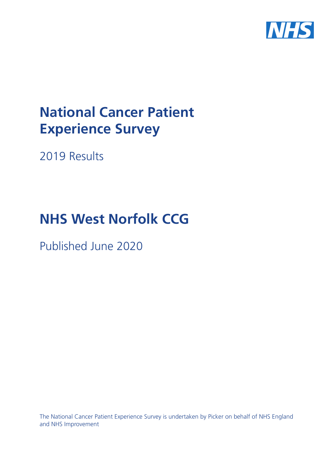

# **National Cancer Patient Experience Survey**

2019 Results

# **NHS West Norfolk CCG**

Published June 2020

The National Cancer Patient Experience Survey is undertaken by Picker on behalf of NHS England and NHS Improvement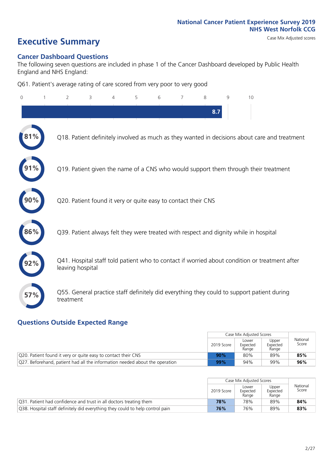# **Executive Summary** Case Mix Adjusted scores

### **Cancer Dashboard Questions**

The following seven questions are included in phase 1 of the Cancer Dashboard developed by Public Health England and NHS England:

Q61. Patient's average rating of care scored from very poor to very good

| $\Omega$ | $\overline{2}$                                                | 3 | 4 | 5 | 6 | 7 | 8   | 9 | 10                                                                                            |
|----------|---------------------------------------------------------------|---|---|---|---|---|-----|---|-----------------------------------------------------------------------------------------------|
|          |                                                               |   |   |   |   |   | 8.7 |   |                                                                                               |
|          |                                                               |   |   |   |   |   |     |   | Q18. Patient definitely involved as much as they wanted in decisions about care and treatment |
|          |                                                               |   |   |   |   |   |     |   | Q19. Patient given the name of a CNS who would support them through their treatment           |
|          | Q20. Patient found it very or quite easy to contact their CNS |   |   |   |   |   |     |   |                                                                                               |
| 86%      |                                                               |   |   |   |   |   |     |   | Q39. Patient always felt they were treated with respect and dignity while in hospital         |
|          | leaving hospital                                              |   |   |   |   |   |     |   | Q41. Hospital staff told patient who to contact if worried about condition or treatment after |
| 57%      | treatment                                                     |   |   |   |   |   |     |   | Q55. General practice staff definitely did everything they could to support patient during    |

### **Questions Outside Expected Range**

|                                                                             |            | Case Mix Adjusted Scores   |                            |                   |
|-----------------------------------------------------------------------------|------------|----------------------------|----------------------------|-------------------|
|                                                                             | 2019 Score | Lower<br>Expected<br>Range | Upper<br>Expected<br>Range | National<br>Score |
| Q20. Patient found it very or quite easy to contact their CNS               | 90%        | 80%                        | 89%                        | 85%               |
| Q27. Beforehand, patient had all the information needed about the operation | 99%        | 94%                        | 99%                        | 96%               |

|                                                                               |                          | Case Mix Adjusted Scores   |                            |                   |
|-------------------------------------------------------------------------------|--------------------------|----------------------------|----------------------------|-------------------|
|                                                                               | 2019 Score<br>78%<br>76% | Lower<br>Expected<br>Range | Upper<br>Expected<br>Range | National<br>Score |
| Q31. Patient had confidence and trust in all doctors treating them            |                          | 78%                        | 89%                        | 84%               |
| Q38. Hospital staff definitely did everything they could to help control pain |                          | 76%                        | 89%                        | 83%               |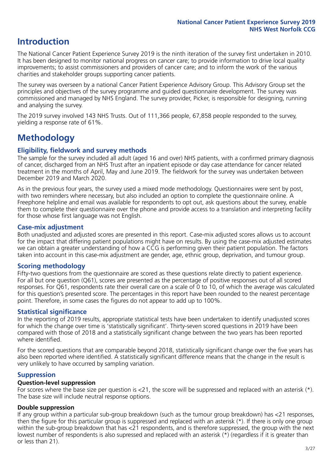## **Introduction**

The National Cancer Patient Experience Survey 2019 is the ninth iteration of the survey first undertaken in 2010. It has been designed to monitor national progress on cancer care; to provide information to drive local quality improvements; to assist commissioners and providers of cancer care; and to inform the work of the various charities and stakeholder groups supporting cancer patients.

The survey was overseen by a national Cancer Patient Experience Advisory Group. This Advisory Group set the principles and objectives of the survey programme and guided questionnaire development. The survey was commissioned and managed by NHS England. The survey provider, Picker, is responsible for designing, running and analysing the survey.

The 2019 survey involved 143 NHS Trusts. Out of 111,366 people, 67,858 people responded to the survey, yielding a response rate of 61%.

# **Methodology**

### **Eligibility, fieldwork and survey methods**

The sample for the survey included all adult (aged 16 and over) NHS patients, with a confirmed primary diagnosis of cancer, discharged from an NHS Trust after an inpatient episode or day case attendance for cancer related treatment in the months of April, May and June 2019. The fieldwork for the survey was undertaken between December 2019 and March 2020.

As in the previous four years, the survey used a mixed mode methodology. Questionnaires were sent by post, with two reminders where necessary, but also included an option to complete the questionnaire online. A Freephone helpline and email was available for respondents to opt out, ask questions about the survey, enable them to complete their questionnaire over the phone and provide access to a translation and interpreting facility for those whose first language was not English.

### **Case-mix adjustment**

Both unadjusted and adjusted scores are presented in this report. Case-mix adjusted scores allows us to account for the impact that differing patient populations might have on results. By using the case-mix adjusted estimates we can obtain a greater understanding of how a CCG is performing given their patient population. The factors taken into account in this case-mix adjustment are gender, age, ethnic group, deprivation, and tumour group.

### **Scoring methodology**

Fifty-two questions from the questionnaire are scored as these questions relate directly to patient experience. For all but one question (Q61), scores are presented as the percentage of positive responses out of all scored responses. For Q61, respondents rate their overall care on a scale of 0 to 10, of which the average was calculated for this question's presented score. The percentages in this report have been rounded to the nearest percentage point. Therefore, in some cases the figures do not appear to add up to 100%.

### **Statistical significance**

In the reporting of 2019 results, appropriate statistical tests have been undertaken to identify unadjusted scores for which the change over time is 'statistically significant'. Thirty-seven scored questions in 2019 have been compared with those of 2018 and a statistically significant change between the two years has been reported where identified.

For the scored questions that are comparable beyond 2018, statistically significant change over the five years has also been reported where identified. A statistically significant difference means that the change in the result is very unlikely to have occurred by sampling variation.

### **Suppression**

### **Question-level suppression**

For scores where the base size per question is  $<$ 21, the score will be suppressed and replaced with an asterisk (\*). The base size will include neutral response options.

### **Double suppression**

If any group within a particular sub-group breakdown (such as the tumour group breakdown) has <21 responses, then the figure for this particular group is suppressed and replaced with an asterisk (\*). If there is only one group within the sub-group breakdown that has <21 respondents, and is therefore suppressed, the group with the next lowest number of respondents is also supressed and replaced with an asterisk (\*) (regardless if it is greater than or less than 21).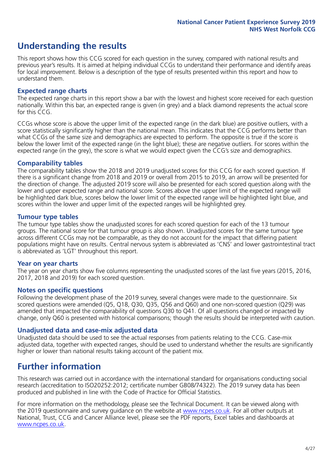# **Understanding the results**

This report shows how this CCG scored for each question in the survey, compared with national results and previous year's results. It is aimed at helping individual CCGs to understand their performance and identify areas for local improvement. Below is a description of the type of results presented within this report and how to understand them.

### **Expected range charts**

The expected range charts in this report show a bar with the lowest and highest score received for each question nationally. Within this bar, an expected range is given (in grey) and a black diamond represents the actual score for this CCG.

CCGs whose score is above the upper limit of the expected range (in the dark blue) are positive outliers, with a score statistically significantly higher than the national mean. This indicates that the CCG performs better than what CCGs of the same size and demographics are expected to perform. The opposite is true if the score is below the lower limit of the expected range (in the light blue); these are negative outliers. For scores within the expected range (in the grey), the score is what we would expect given the CCG's size and demographics.

### **Comparability tables**

The comparability tables show the 2018 and 2019 unadjusted scores for this CCG for each scored question. If there is a significant change from 2018 and 2019 or overall from 2015 to 2019, an arrow will be presented for the direction of change. The adjusted 2019 score will also be presented for each scored question along with the lower and upper expected range and national score. Scores above the upper limit of the expected range will be highlighted dark blue, scores below the lower limit of the expected range will be highlighted light blue, and scores within the lower and upper limit of the expected ranges will be highlighted grey.

### **Tumour type tables**

The tumour type tables show the unadjusted scores for each scored question for each of the 13 tumour groups. The national score for that tumour group is also shown. Unadjusted scores for the same tumour type across different CCGs may not be comparable, as they do not account for the impact that differing patient populations might have on results. Central nervous system is abbreviated as 'CNS' and lower gastrointestinal tract is abbreviated as 'LGT' throughout this report.

### **Year on year charts**

The year on year charts show five columns representing the unadjusted scores of the last five years (2015, 2016, 2017, 2018 and 2019) for each scored question.

### **Notes on specific questions**

Following the development phase of the 2019 survey, several changes were made to the questionnaire. Six scored questions were amended (Q5, Q18, Q30, Q35, Q56 and Q60) and one non-scored question (Q29) was amended that impacted the comparability of questions Q30 to Q41. Of all questions changed or impacted by change, only Q60 is presented with historical comparisons; though the results should be interpreted with caution.

### **Unadjusted data and case-mix adjusted data**

Unadjusted data should be used to see the actual responses from patients relating to the CCG. Case-mix adjusted data, together with expected ranges, should be used to understand whether the results are significantly higher or lower than national results taking account of the patient mix.

### **Further information**

This research was carried out in accordance with the international standard for organisations conducting social research (accreditation to ISO20252:2012; certificate number GB08/74322). The 2019 survey data has been produced and published in line with the Code of Practice for Official Statistics.

For more information on the methodology, please see the Technical Document. It can be viewed along with the 2019 questionnaire and survey quidance on the website at [www.ncpes.co.uk](https://www.ncpes.co.uk/supporting-documents). For all other outputs at National, Trust, CCG and Cancer Alliance level, please see the PDF reports, Excel tables and dashboards at [www.ncpes.co.uk.](https://www.ncpes.co.uk/current-results)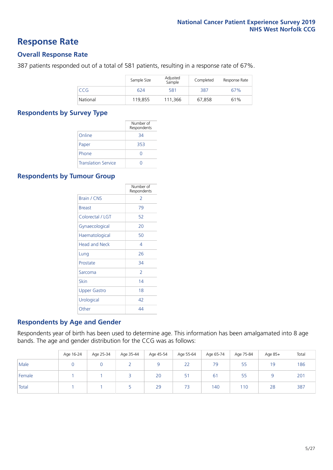### **Response Rate**

### **Overall Response Rate**

387 patients responded out of a total of 581 patients, resulting in a response rate of 67%.

|          | Sample Size | Adjusted<br>Sample | Completed | Response Rate |
|----------|-------------|--------------------|-----------|---------------|
| CCG      | 624         | 581                | 387       | 67%           |
| National | 119,855     | 111.366            | 67.858    | 61%           |

### **Respondents by Survey Type**

|                            | Number of<br>Respondents |
|----------------------------|--------------------------|
| Online                     | 34                       |
| Paper                      | 353                      |
| Phone                      |                          |
| <b>Translation Service</b> |                          |

### **Respondents by Tumour Group**

|                      | Number of<br>Respondents |
|----------------------|--------------------------|
| <b>Brain / CNS</b>   | $\mathcal{P}$            |
| <b>Breast</b>        | 79                       |
| Colorectal / LGT     | 52                       |
| Gynaecological       | 20                       |
| Haematological       | 50                       |
| <b>Head and Neck</b> | 4                        |
| Lung                 | 26                       |
| Prostate             | 34                       |
| Sarcoma              | $\mathcal{P}$            |
| Skin                 | 14                       |
| <b>Upper Gastro</b>  | 18                       |
| Urological           | 42                       |
| Other                | 44                       |

### **Respondents by Age and Gender**

Respondents year of birth has been used to determine age. This information has been amalgamated into 8 age bands. The age and gender distribution for the CCG was as follows:

|        | Age 16-24 | Age 25-34 | Age 35-44 | Age 45-54 | Age 55-64 | Age 65-74 | Age 75-84 | Age 85+ | Total |
|--------|-----------|-----------|-----------|-----------|-----------|-----------|-----------|---------|-------|
| Male   |           |           |           |           | 22        | 79        | 55        | 19      | 186   |
| Female |           |           |           | 20        | 51        | 61        | 55        |         | 201   |
| Total  |           |           |           | 29        | 73        | 140       | 110       | 28      | 387   |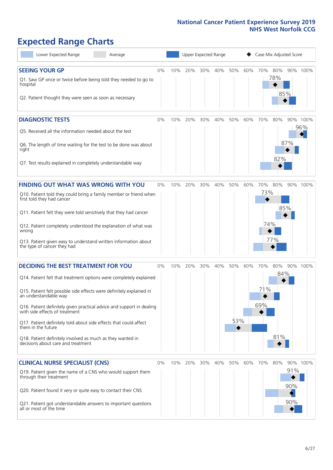# **Expected Range Charts**

| Lower Expected Range<br>Average                                                                                                                                                                                                                                                                                                                                                                                                                                                                                             | Upper Expected Range<br>Case Mix Adjusted Score |     |         |     |     |            |     |                   |                   |                   |                 |
|-----------------------------------------------------------------------------------------------------------------------------------------------------------------------------------------------------------------------------------------------------------------------------------------------------------------------------------------------------------------------------------------------------------------------------------------------------------------------------------------------------------------------------|-------------------------------------------------|-----|---------|-----|-----|------------|-----|-------------------|-------------------|-------------------|-----------------|
| <b>SEEING YOUR GP</b><br>Q1. Saw GP once or twice before being told they needed to go to<br>hospital<br>Q2. Patient thought they were seen as soon as necessary                                                                                                                                                                                                                                                                                                                                                             | 0%                                              | 10% | 20%     | 30% | 40% | 50%        | 60% | 70% 80%           | 78%<br>85%        |                   | 90% 100%        |
| <b>DIAGNOSTIC TESTS</b><br>Q5. Received all the information needed about the test<br>Q6. The length of time waiting for the test to be done was about<br>right<br>Q7. Test results explained in completely understandable way                                                                                                                                                                                                                                                                                               | 0%                                              | 10% | 20%     | 30% | 40% | 50%        | 60% | 70%               | 80%<br>82%        | 87%               | 90% 100%<br>96% |
| FINDING OUT WHAT WAS WRONG WITH YOU<br>Q10. Patient told they could bring a family member or friend when<br>first told they had cancer<br>Q11. Patient felt they were told sensitively that they had cancer<br>Q12. Patient completely understood the explanation of what was<br>wrong<br>Q13. Patient given easy to understand written information about<br>the type of cancer they had                                                                                                                                    | 0%                                              | 10% | 20%     | 30% | 40% | 50%        | 60% | 70%<br>73%<br>74% | 80%<br>77%        | 85%               | 90% 100%        |
| <b>DECIDING THE BEST TREATMENT FOR YOU</b><br>Q14. Patient felt that treatment options were completely explained<br>Q15. Patient felt possible side effects were definitely explained in<br>an understandable way<br>Q16. Patient definitely given practical advice and support in dealing<br>with side effects of treatment<br>Q17. Patient definitely told about side effects that could affect<br>them in the future<br>Q18. Patient definitely involved as much as they wanted in<br>decisions about care and treatment | 0%                                              | 10% | 20%     | 30% | 40% | 50%<br>53% | 60% | 70%<br>71%<br>69% | 80%<br>84%<br>81% |                   | 90% 100%        |
| <b>CLINICAL NURSE SPECIALIST (CNS)</b><br>Q19. Patient given the name of a CNS who would support them<br>through their treatment<br>Q20. Patient found it very or quite easy to contact their CNS<br>Q21. Patient got understandable answers to important questions<br>all or most of the time                                                                                                                                                                                                                              | 0%                                              |     | 10% 20% | 30% | 40% | 50%        | 60% | 70%               | 80%               | 91%<br>90%<br>90% | 90% 100%        |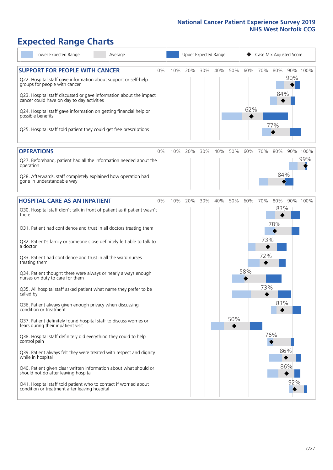# **Expected Range Charts**

| Lower Expected Range<br>Average                                                                                                                                                                                                                               |    |     |     |     | Upper Expected Range |     |     |     | Case Mix Adjusted Score |     |          |
|---------------------------------------------------------------------------------------------------------------------------------------------------------------------------------------------------------------------------------------------------------------|----|-----|-----|-----|----------------------|-----|-----|-----|-------------------------|-----|----------|
| <b>SUPPORT FOR PEOPLE WITH CANCER</b><br>Q22. Hospital staff gave information about support or self-help<br>groups for people with cancer<br>Q23. Hospital staff discussed or gave information about the impact<br>cancer could have on day to day activities | 0% | 10% | 20% | 30% | 40%                  | 50% | 60% | 70% | 80%<br>84%              | 90% | 90% 100% |
| Q24. Hospital staff gave information on getting financial help or<br>possible benefits<br>Q25. Hospital staff told patient they could get free prescriptions                                                                                                  |    |     |     |     |                      |     | 62% |     | 77%                     |     |          |
| <b>OPERATIONS</b>                                                                                                                                                                                                                                             | 0% | 10% | 20% | 30% | 40%                  | 50% | 60% | 70% | 80%                     | 90% | 100%     |
| Q27. Beforehand, patient had all the information needed about the<br>operation<br>Q28. Afterwards, staff completely explained how operation had                                                                                                               |    |     |     |     |                      |     |     |     | 84%                     |     | 99%      |
| gone in understandable way                                                                                                                                                                                                                                    |    |     |     |     |                      |     |     |     |                         |     |          |
| <b>HOSPITAL CARE AS AN INPATIENT</b>                                                                                                                                                                                                                          | 0% | 10% | 20% | 30% | 40%                  | 50% | 60% | 70% | 80%                     |     | 90% 100% |
| Q30. Hospital staff didn't talk in front of patient as if patient wasn't<br>there                                                                                                                                                                             |    |     |     |     |                      |     |     |     | 83%<br>78%              |     |          |
| Q31. Patient had confidence and trust in all doctors treating them                                                                                                                                                                                            |    |     |     |     |                      |     |     |     |                         |     |          |
| Q32. Patient's family or someone close definitely felt able to talk to<br>a doctor                                                                                                                                                                            |    |     |     |     |                      |     |     | 73% |                         |     |          |
| Q33. Patient had confidence and trust in all the ward nurses<br>treating them                                                                                                                                                                                 |    |     |     |     |                      |     |     | 72% |                         |     |          |
| Q34. Patient thought there were always or nearly always enough<br>nurses on duty to care for them                                                                                                                                                             |    |     |     |     |                      |     | 58% | 73% |                         |     |          |
| Q35. All hospital staff asked patient what name they prefer to be<br>called by                                                                                                                                                                                |    |     |     |     |                      |     |     |     | 83%                     |     |          |
| Q36. Patient always given enough privacy when discussing<br>condition or treatment                                                                                                                                                                            |    |     |     |     |                      | 50% |     |     |                         |     |          |
| Q37. Patient definitely found hospital staff to discuss worries or<br>fears during their inpatient visit                                                                                                                                                      |    |     |     |     |                      |     |     |     |                         |     |          |
| Q38. Hospital staff definitely did everything they could to help<br>control pain                                                                                                                                                                              |    |     |     |     |                      |     |     |     | 76%                     |     |          |
| Q39. Patient always felt they were treated with respect and dignity<br>while in hospital                                                                                                                                                                      |    |     |     |     |                      |     |     |     |                         | 86% |          |
| Q40. Patient given clear written information about what should or<br>should not do after leaving hospital                                                                                                                                                     |    |     |     |     |                      |     |     |     |                         | 86% |          |
| Q41. Hospital staff told patient who to contact if worried about<br>condition or treatment after leaving hospital                                                                                                                                             |    |     |     |     |                      |     |     |     |                         | 92% |          |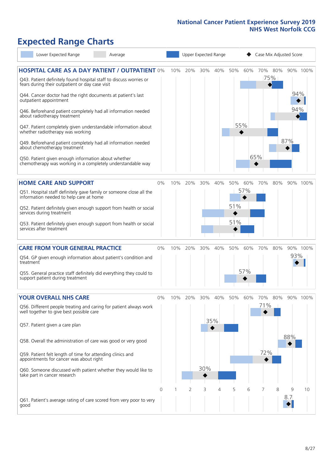# **Expected Range Charts**

| Lower Expected Range<br>Average                                                                                                                                                                                                                                                                                                                                                                                                                             |       |     |     | Upper Expected Range |            |                   |            |                   | Case Mix Adjusted Score |            |          |
|-------------------------------------------------------------------------------------------------------------------------------------------------------------------------------------------------------------------------------------------------------------------------------------------------------------------------------------------------------------------------------------------------------------------------------------------------------------|-------|-----|-----|----------------------|------------|-------------------|------------|-------------------|-------------------------|------------|----------|
| <b>HOSPITAL CARE AS A DAY PATIENT / OUTPATIENT 0%</b><br>Q43. Patient definitely found hospital staff to discuss worries or<br>fears during their outpatient or day case visit<br>Q44. Cancer doctor had the right documents at patient's last<br>outpatient appointment<br>Q46. Beforehand patient completely had all information needed<br>about radiotherapy treatment                                                                                   |       | 10% | 20% | 30%                  | 40%        | 50%               | 60%        |                   | 70% 80%<br>75%          | 94%<br>94% | 90% 100% |
| Q47. Patient completely given understandable information about<br>whether radiotherapy was working<br>Q49. Beforehand patient completely had all information needed<br>about chemotherapy treatment<br>Q50. Patient given enough information about whether<br>chemotherapy was working in a completely understandable way                                                                                                                                   |       |     |     |                      |            |                   | 55%        | 65%               |                         | 87%        |          |
| <b>HOME CARE AND SUPPORT</b><br>Q51. Hospital staff definitely gave family or someone close all the<br>information needed to help care at home<br>Q52. Patient definitely given enough support from health or social<br>services during treatment<br>Q53. Patient definitely given enough support from health or social<br>services after treatment                                                                                                         | 0%    | 10% | 20% | 30%                  | 40%        | 50%<br>51%<br>51% | 60%<br>57% | 70%               | 80%                     |            | 90% 100% |
| <b>CARE FROM YOUR GENERAL PRACTICE</b><br>Q54. GP given enough information about patient's condition and<br>treatment<br>Q55. General practice staff definitely did everything they could to<br>support patient during treatment                                                                                                                                                                                                                            | 0%    | 10% | 20% | 30%                  | 40%        | 50%               | 60%<br>57% | 70%               | 80%                     | 93%        | 90% 100% |
| <b>YOUR OVERALL NHS CARE</b><br>Q56. Different people treating and caring for patient always work<br>well together to give best possible care<br>Q57. Patient given a care plan<br>Q58. Overall the administration of care was good or very good<br>Q59. Patient felt length of time for attending clinics and<br>appointments for cancer was about right<br>Q60. Someone discussed with patient whether they would like to<br>take part in cancer research | $0\%$ | 10% | 20% | 30%<br>30%           | 40%<br>35% | 50%               | 60%        | 70%<br>71%<br>72% | 80%                     | 88%        | 90% 100% |
| Q61. Patient's average rating of care scored from very poor to very<br>good                                                                                                                                                                                                                                                                                                                                                                                 | 0     |     | 2   | 3                    | 4          | 5                 | 6          | 7                 | 8                       | 9<br>8.7   | 10       |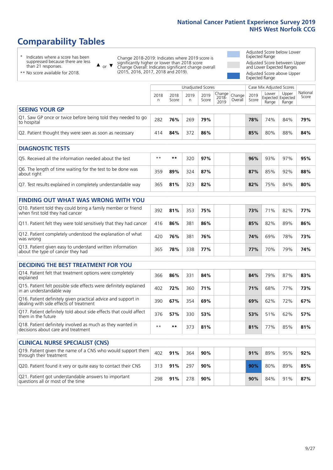# **Comparability Tables**

\* Indicates where a score has been suppressed because there are less than 21 responses.

\*\* No score available for 2018.

 $\triangle$  or  $\nabla$ 

Change 2018-2019: Indicates where 2019 score is significantly higher or lower than 2018 score Change Overall: Indicates significant change overall (2015, 2016, 2017, 2018 and 2019).

Adjusted Score below Lower Expected Range Adjusted Score between Upper and Lower Expected Ranges Adjusted Score above Upper Expected Range

|                                                                             |           |               | Unadjusted Scores |               |                           |                   | Case Mix Adjusted Scores |                                            |                |                   |
|-----------------------------------------------------------------------------|-----------|---------------|-------------------|---------------|---------------------------|-------------------|--------------------------|--------------------------------------------|----------------|-------------------|
|                                                                             | 2018<br>n | 2018<br>Score | 2019<br>n         | 2019<br>Score | Change  <br>2018-<br>2019 | Change<br>Overall | 2019<br>Score            | Lower<br><b>Expected Expected</b><br>Range | Upper<br>Range | National<br>Score |
| <b>SEEING YOUR GP</b>                                                       |           |               |                   |               |                           |                   |                          |                                            |                |                   |
| Q1. Saw GP once or twice before being told they needed to go<br>to hospital | 282       | 76%           | 269               | 79%           |                           |                   | 78%                      | 74%                                        | 84%            | 79%               |
| Q2. Patient thought they were seen as soon as necessary                     | 414       | 84%           | 372               | 86%           |                           |                   | 85%                      | 80%                                        | 88%            | 84%               |
|                                                                             |           |               |                   |               |                           |                   |                          |                                            |                |                   |
| <b>DIAGNOSTIC TESTS</b>                                                     |           |               |                   |               |                           |                   |                          |                                            |                |                   |
| Q5. Received all the information needed about the test                      | $**$      | **            | 320               | 97%           |                           |                   | 96%                      | 93%                                        | 97%            | 95%               |

| Q6. The length of time waiting for the test to be done was<br>about right | 359 | 89% | 324 | 87% |  | 87% | 85% | 92% | 88% |
|---------------------------------------------------------------------------|-----|-----|-----|-----|--|-----|-----|-----|-----|
| Q7. Test results explained in completely understandable way               | 365 | 81% | 323 | 82% |  | 82% | 75% | 84% | 80% |

| <b>FINDING OUT WHAT WAS WRONG WITH YOU</b> |  |
|--------------------------------------------|--|
|                                            |  |

| Q10. Patient told they could bring a family member or friend<br>when first told they had cancer | 392 | 81% | 353 | 75% |  | 73% | 71 <sub>%</sub> | 82% | 77% |
|-------------------------------------------------------------------------------------------------|-----|-----|-----|-----|--|-----|-----------------|-----|-----|
| Q11. Patient felt they were told sensitively that they had cancer                               | 416 | 86% | 381 | 86% |  | 85% | 82%             | 89% | 86% |
| Q12. Patient completely understood the explanation of what<br>was wrong                         | 420 | 76% | 381 | 76% |  | 74% | 69%             | 78% | 73% |
| Q13. Patient given easy to understand written information<br>about the type of cancer they had  | 365 | 78% | 338 | 77% |  | 77% | 70%             | 79% | 74% |

| <b>DECIDING THE BEST TREATMENT FOR YOU</b> |  |  |  |
|--------------------------------------------|--|--|--|
|--------------------------------------------|--|--|--|

| Q14. Patient felt that treatment options were completely<br>explained                                   | 366  | 86% | 331 | 84% |  | 84% | 79% | 87% | 83% |
|---------------------------------------------------------------------------------------------------------|------|-----|-----|-----|--|-----|-----|-----|-----|
| Q15. Patient felt possible side effects were definitely explained<br>in an understandable way           | 402  | 72% | 360 | 71% |  | 71% | 68% | 77% | 73% |
| Q16. Patient definitely given practical advice and support in<br>dealing with side effects of treatment | 390  | 67% | 354 | 69% |  | 69% | 62% | 72% | 67% |
| Q17. Patient definitely told about side effects that could affect<br>them in the future                 | 376  | 57% | 330 | 53% |  | 53% | 51% | 62% | 57% |
| Q18. Patient definitely involved as much as they wanted in<br>decisions about care and treatment        | $**$ | **  | 373 | 81% |  | 81% | 77% | 85% | 81% |

| <b>CLINICAL NURSE SPECIALIST (CNS)</b>                                                    |     |     |     |     |  |     |     |     |     |  |  |  |
|-------------------------------------------------------------------------------------------|-----|-----|-----|-----|--|-----|-----|-----|-----|--|--|--|
| Q19. Patient given the name of a CNS who would support them<br>through their treatment    | 402 | 91% | 364 | 90% |  | 91% | 89% | 95% | 92% |  |  |  |
| Q20. Patient found it very or quite easy to contact their CNS                             | 313 | 91% | 297 | 90% |  | 90% | 80% | 89% | 85% |  |  |  |
| Q21. Patient got understandable answers to important<br>questions all or most of the time | 298 | 91% | 278 | 90% |  | 90% | 84% | 91% | 87% |  |  |  |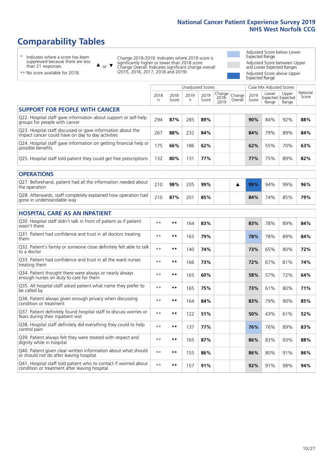# **Comparability Tables**

\* Indicates where a score has been suppressed because there are less than 21 responses.

\*\* No score available for 2018.

 $\triangle$  or  $\nabla$ 

Change 2018-2019: Indicates where 2019 score is significantly higher or lower than 2018 score Change Overall: Indicates significant change overall (2015, 2016, 2017, 2018 and 2019).

Adjusted Score below Lower Expected Range Adjusted Score between Upper and Lower Expected Ranges Adjusted Score above Upper Expected Range

|                                                                                                                   | <b>Unadjusted Scores</b> |               |            |               |                         | Case Mix Adjusted Scores |               |                                     |                |                   |
|-------------------------------------------------------------------------------------------------------------------|--------------------------|---------------|------------|---------------|-------------------------|--------------------------|---------------|-------------------------------------|----------------|-------------------|
|                                                                                                                   | 2018<br>n                | 2018<br>Score | 2019<br>n. | 2019<br>Score | Change<br>2018-<br>2019 | Change<br>Overall        | 2019<br>Score | Lower<br>Expected Expected<br>Range | Upper<br>Range | National<br>Score |
| <b>SUPPORT FOR PEOPLE WITH CANCER</b>                                                                             |                          |               |            |               |                         |                          |               |                                     |                |                   |
| Q22. Hospital staff gave information about support or self-help<br>groups for people with cancer                  | 294                      | 87%           | 285        | 89%           |                         |                          | 90%           | 84%                                 | 92%            | 88%               |
| Q23. Hospital staff discussed or gave information about the<br>impact cancer could have on day to day activities  | 267                      | 88%           | 232        | 84%           |                         |                          | 84%           | 79%                                 | 89%            | 84%               |
| Q24. Hospital staff gave information on getting financial help or<br>possible benefits                            | 175                      | 66%           | 186        | 62%           |                         |                          | 62%           | 55%                                 | 70%            | 63%               |
| Q25. Hospital staff told patient they could get free prescriptions                                                | 132                      | 80%           | 131        | 77%           |                         |                          | 77%           | 75%                                 | 89%            | 82%               |
| <b>OPERATIONS</b>                                                                                                 |                          |               |            |               |                         |                          |               |                                     |                |                   |
| Q27. Beforehand, patient had all the information needed about<br>the operation                                    | 210                      | 98%           | 205        | 99%           |                         | ▲                        | 99%           | 94%                                 | 99%            | 96%               |
| Q28. Afterwards, staff completely explained how operation had<br>gone in understandable way                       | 210                      | 87%           | 201        | 85%           |                         |                          | 84%           | 74%                                 | 85%            | 79%               |
| <b>HOSPITAL CARE AS AN INPATIENT</b>                                                                              |                          |               |            |               |                         |                          |               |                                     |                |                   |
| Q30. Hospital staff didn't talk in front of patient as if patient<br>wasn't there                                 | $* *$                    | **            | 164        | 83%           |                         |                          | 83%           | 78%                                 | 89%            | 84%               |
| Q31. Patient had confidence and trust in all doctors treating<br>them                                             | $* *$                    | $***$         | 165        | 79%           |                         |                          | 78%           | 78%                                 | 89%            | 84%               |
| Q32. Patient's family or someone close definitely felt able to talk<br>to a doctor                                | $* *$                    | $***$         | 140        | 74%           |                         |                          | 73%           | 65%                                 | 80%            | 72%               |
| Q33. Patient had confidence and trust in all the ward nurses<br>treating them                                     | $\star\star$             | **            | 166        | 73%           |                         |                          | 72%           | 67%                                 | 81%            | 74%               |
| Q34. Patient thought there were always or nearly always<br>enough nurses on duty to care for them                 | $* *$                    | **            | 165        | 60%           |                         |                          | 58%           | 57%                                 | 72%            | 64%               |
| Q35. All hospital staff asked patient what name they prefer to<br>be called by                                    | $* *$                    | $***$         | 165        | 75%           |                         |                          | 73%           | 61%                                 | 80%            | 71%               |
| Q36. Patient always given enough privacy when discussing<br>condition or treatment                                | $**$                     | $***$         | 164        | 84%           |                         |                          | 83%           | 79%                                 | 90%            | 85%               |
| Q37. Patient definitely found hospital staff to discuss worries or<br>fears during their inpatient visit          | $**$                     | **            | 122        | 51%           |                         |                          | 50%           | 43%                                 | 61%            | 52%               |
| Q38. Hospital staff definitely did everything they could to help<br>control pain                                  | $* *$                    | $***$         | 137        | 77%           |                         |                          | 76%           | 76%                                 | 89%            | 83%               |
| Q39. Patient always felt they were treated with respect and<br>dignity while in hospital                          | $***$                    | **            | 165        | 87%           |                         |                          | 86%           | 83%                                 | 93%            | 88%               |
| Q40. Patient given clear written information about what should<br>or should not do after leaving hospital         | $**$                     | **            | 155        | 86%           |                         |                          | 86%           | 80%                                 | 91%            | 86%               |
| Q41. Hospital staff told patient who to contact if worried about<br>condition or treatment after leaving hospital | $**$                     | **            | 157        | 91%           |                         |                          | 92%           | 91%                                 | 98%            | 94%               |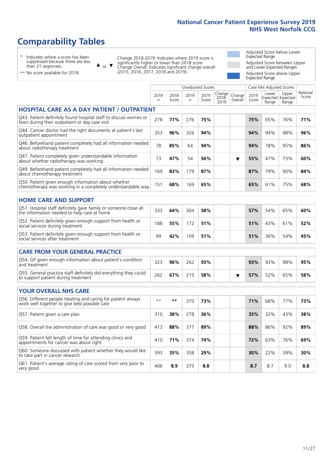393 **35%** 358 **29% 30%** 22% 39% **30%**

# **Comparability Tables**

\* Indicates where a score has been suppressed because there are less than 21 responses.

\*\* No score available for 2018.

or  $\blacktriangledown$  $\blacktriangle$ 

Q60. Someone discussed with patient whether they would like

to take part in cancer research

Change 2018-2019: Indicates where 2019 score is significantly higher or lower than 2018 score Change Overall: Indicates significant change overall (2015, 2016, 2017, 2018 and 2019).

Adjusted Score below Lower Expected Range Adjusted Score between Upper and Lower Expected Ranges Adjusted Score above Upper Expected Range

|                                                                                                                       |           |               |            | <b>Unadjusted Scores</b> |                         |                   | Case Mix Adjusted Scores |                |                                     |                   |
|-----------------------------------------------------------------------------------------------------------------------|-----------|---------------|------------|--------------------------|-------------------------|-------------------|--------------------------|----------------|-------------------------------------|-------------------|
|                                                                                                                       | 2018<br>n | 2018<br>Score | 2019<br>n. | 2019<br>Score            | Change<br>2018-<br>2019 | Change<br>Overall | 2019<br>Score            | Lower<br>Range | Upper<br>Expected Expected<br>Range | National<br>Score |
| <b>HOSPITAL CARE AS A DAY PATIENT / OUTPATIENT</b>                                                                    |           |               |            |                          |                         |                   |                          |                |                                     |                   |
| Q43. Patient definitely found hospital staff to discuss worries or<br>fears during their outpatient or day case visit | 278       | 77%           | 276        | 75%                      |                         |                   | 75%                      | 65%            | 76%                                 | 71%               |
| Q44. Cancer doctor had the right documents at patient's last<br>outpatient appointment                                | 353       | 96%           | 326        | 94%                      |                         |                   | 94%                      | 94%            | 98%                                 | 96%               |
| Q46. Beforehand patient completely had all information needed<br>about radiotherapy treatment                         | 78        | 85%           | 64         | 94%                      |                         |                   | 94%                      | 78%            | 95%                                 | 86%               |
| Q47. Patient completely given understandable information<br>about whether radiotherapy was working                    | 73        | 47%           | 54         | 56%                      |                         | ▼                 | 55%                      | 47%            | 73%                                 | 60%               |
| Q49. Beforehand patient completely had all information needed<br>about chemotherapy treatment                         | 169       | 83%           | 179        | 87%                      |                         |                   | 87%                      | 79%            | 90%                                 | 84%               |
| Q50. Patient given enough information about whether<br>chemotherapy was working in a completely understandable way    | 151       | 68%           | 169        | 65%                      |                         |                   | 65%                      | 61%            | 75%                                 | 68%               |
| <b>HOME CARE AND SUPPORT</b>                                                                                          |           |               |            |                          |                         |                   |                          |                |                                     |                   |
| Q51. Hospital staff definitely gave family or someone close all<br>the information needed to help care at home        | 333       | 64%           | 304        | 58%                      |                         |                   | 57%                      | 54%            | 65%                                 | 60%               |
| Q52. Patient definitely given enough support from health or<br>social services during treatment                       | 188       | 55%           | 172        | 51%                      |                         |                   | 51%                      | 43%            | 61%                                 | 52%               |
| Q53. Patient definitely given enough support from health or<br>social services after treatment                        | 99        | 42%           | 109        | 51%                      |                         |                   | 51%                      | 36%            | 54%                                 | 45%               |
| <b>CARE FROM YOUR GENERAL PRACTICE</b>                                                                                |           |               |            |                          |                         |                   |                          |                |                                     |                   |
| Q54. GP given enough information about patient's condition<br>and treatment                                           | 323       | 96%           | 262        | 93%                      |                         |                   | 93%                      | 93%            | 98%                                 | 95%               |
| Q55. General practice staff definitely did everything they could<br>to support patient during treatment               | 262       | 67%           | 215        | 58%                      |                         | ▼                 | 57%                      | 52%            | 65%                                 | 58%               |
| <b>YOUR OVERALL NHS CARE</b>                                                                                          |           |               |            |                          |                         |                   |                          |                |                                     |                   |
| Q56. Different people treating and caring for patient always<br>work well together to give best possible care         | $***$     | $***$         | 370        | 73%                      |                         |                   | 71%                      | 68%            | 77%                                 | 73%               |
| Q57. Patient given a care plan                                                                                        | 310       | 38%           | 278        | 36%                      |                         |                   | 35%                      | 32%            | 43%                                 | 38%               |
| Q58. Overall the administration of care was good or very good                                                         | 413       | 88%           | 377        | 89%                      |                         |                   | 88%                      | 86%            | 92%                                 | 89%               |
| Q59. Patient felt length of time for attending clinics and<br>appointments for cancer was about right                 | 410       | 71%           | 374        | 74%                      |                         |                   | 72%                      | 63%            | 76%                                 | 69%               |

Q61. Patient's average rating of care scored from very poor to very good <sup>406</sup> **8.9** <sup>375</sup> **8.8 8.7** 8.7 9.0 **8.8**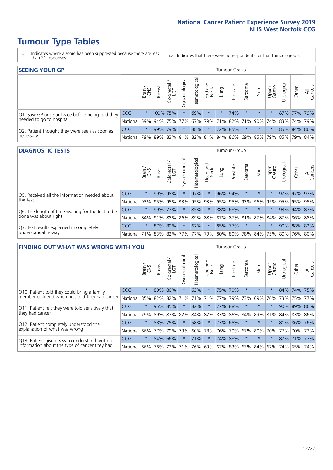- \* Indicates where a score has been suppressed because there are less than 21 responses.
- n.a. Indicates that there were no respondents for that tumour group.

| <b>SEEING YOUR GP</b>                                      |            |         |               |            |                    |                |                  |         |          |         |         | Tumour Group    |                                                           |             |                |  |  |  |
|------------------------------------------------------------|------------|---------|---------------|------------|--------------------|----------------|------------------|---------|----------|---------|---------|-----------------|-----------------------------------------------------------|-------------|----------------|--|--|--|
|                                                            |            | Brain   | <b>Breast</b> | Colorectal | ᠊ᢛ<br>Gynaecologic | Haematological | Head and<br>Neck | Lung    | Prostate | Sarcoma | Skin    | Upper<br>Gastro | $\sigma$<br>Jrologica                                     | Other       | All<br>Cancers |  |  |  |
| Q1. Saw GP once or twice before being told they            | <b>CCG</b> | $\star$ | 100% 75%      |            | $\star$            | 69%            | $\star$          | $\star$ | 74%      |         | $\star$ | $\star$         |                                                           | 87% 77% 79% |                |  |  |  |
| needed to go to hospital                                   | National   | 59%     |               |            | 94% 75% 77%        |                |                  |         |          |         |         |                 | 67%   79%   71%   82%   71%   90%   74%   83%   74%   79% |             |                |  |  |  |
| Q2. Patient thought they were seen as soon as<br>necessary | <b>CCG</b> | $\star$ |               | 99% 79%    |                    | 88%            | $\star$          |         | 72% 85%  | $\star$ | $\star$ |                 |                                                           | 85% 84% 86% |                |  |  |  |
|                                                            | National   | 79%     |               | 89% 83%    |                    |                |                  |         |          |         |         |                 | 81%   82%   81%   84%   86%   69%   85%   79%   85%   79% |             | 84%            |  |  |  |

#### **DIAGNOSTIC TESTS** Tumour Group

|                                                                |                                                                  | Brain<br>CNS | <b>Breast</b> | Colorectal<br>LGT | ᅙ<br>Gynaecologic | Haematological | Head and<br>Neck | Lung        | Prostate | Sarcoma | Skin    | Upper<br>Gastro | rological                                   | Other | All<br>Cancers |
|----------------------------------------------------------------|------------------------------------------------------------------|--------------|---------------|-------------------|-------------------|----------------|------------------|-------------|----------|---------|---------|-----------------|---------------------------------------------|-------|----------------|
| O5. Received all the information needed about                  | <b>CCG</b>                                                       | $\star$      |               | 99% 98%           |                   | 97%            | $\star$          |             | 96% 94%  |         | $\star$ | $\star$         |                                             |       | 97% 97% 97%    |
| $\vert$ the test                                               | National                                                         | 93%          |               | 95% 95%           |                   | 93% 95%        |                  | 93% 95% 95% |          | 93%     | 96%     | 95%             | 95%                                         |       | 95% 95%        |
| Q6. The length of time waiting for the test to be              | <b>CCG</b>                                                       | $\star$      | 99%           | 77%               | $\star$           | 85%            | $\star$          |             | 88% 68%  |         | $\star$ | $\star$         |                                             |       | 93% 94% 87%    |
| done was about right                                           | National                                                         |              |               | 84% 91% 88%       |                   |                |                  |             |          |         |         |                 | 86% 89% 88% 87% 87% 81% 87% 84% 87% 86% 88% |       |                |
| Q7. Test results explained in completely<br>understandable way | <b>CCG</b>                                                       | $\star$      |               | 87% 80%           | $\star$           | 67%            | $\star$          |             | 85% 77%  |         | $\star$ | $\star$         |                                             |       | 90% 88% 82%    |
|                                                                | National 71% 83% 82% 77% 77% 79% 80% 80% 78% 84% 75% 80% 76% 80% |              |               |                   |                   |                |                  |             |          |         |         |                 |                                             |       |                |

| <b>FINDING OUT WHAT WAS WRONG WITH YOU</b>                                                     | Tumour Group |         |               |                        |                |               |                        |      |          |         |         |                         |            |             |                |
|------------------------------------------------------------------------------------------------|--------------|---------|---------------|------------------------|----------------|---------------|------------------------|------|----------|---------|---------|-------------------------|------------|-------------|----------------|
|                                                                                                |              | Brain   | <b>Breast</b> | olorectal.<br>LGT<br>Ū | Gynaecological | Haematologica | ad and<br>Neck<br>Head | Lung | Prostate | Sarcoma | Skin    | Upper<br>Gastro         | Irological | Other       | All<br>Cancers |
| Q10. Patient told they could bring a family                                                    | CCG          | $\star$ | 80%           | 80%                    |                | 63%           | $^\star$               | 75%  | 70%      | $\star$ | $\star$ | $\star$                 |            | 84% 74%     | 175%           |
| member or friend when first told they had cancer                                               | National     | 85%     | 82%           | 82%                    | 71%            | 71%           | 71%                    | 77%  | 79%      | 73%     | 69%     | 76%                     | 73%        | 75%         | 77%            |
| Q11. Patient felt they were told sensitively that                                              | CCG          | $\star$ | 95%           | 85%                    |                | 82%           | $\star$                |      | 77% 88%  | $\star$ | $\star$ | $\star$                 | 90%        | 89%         | 86%            |
| they had cancer                                                                                | National     | 79%     |               | 89% 87%                | 82%            |               | 84% 87%                |      | 83% 86%  | 84%     |         | 89% 81%                 |            | 84% 83% 86% |                |
| Q12. Patient completely understood the                                                         | CCG          | $\star$ | 88%           | 75%                    |                | 58%           | $^\star$               |      | 73% 65%  | $\ast$  | $\star$ |                         |            | 81% 86% 76% |                |
| explanation of what was wrong                                                                  | National     | 66%     | 77%           | 79%                    | 73%            | 60%           | 78%                    | 76%  | 79%      | 67%     | 80%     | 70%                     | 77%        | 70%         | 73%            |
| Q13. Patient given easy to understand written<br>information about the type of cancer they had | CCG          | $\star$ | 84% 66%       |                        |                | 71%           | $\star$                |      | 74% 88%  | $\ast$  | $\star$ | $\star$                 |            | 87% 71% 77% |                |
|                                                                                                | National     | 66%     | 78%           | 73%                    | 71%            | 76%           |                        |      |          |         |         | 69% 67% 83% 67% 84% 67% | 74%        | 65%         | 74%            |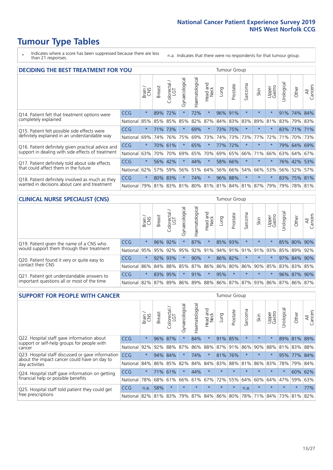\* Indicates where a score has been suppressed because there are less than 21 responses.

n.a. Indicates that there were no respondents for that tumour group.

| <b>DECIDING THE BEST TREATMENT FOR YOU</b>                                                       |            | <b>Tumour Group</b> |               |                       |                |                |                        |      |          |                             |         |                 |            |             |                |
|--------------------------------------------------------------------------------------------------|------------|---------------------|---------------|-----------------------|----------------|----------------|------------------------|------|----------|-----------------------------|---------|-----------------|------------|-------------|----------------|
|                                                                                                  |            | Brain               | <b>Breast</b> | olorectal<br>LGT<br>Ũ | Gynaecological | Haematological | ad and<br>Neck<br>Head | Lung | Prostate | Sarcoma                     | Skin    | Upper<br>Gastro | Jrological | Other       | All<br>Cancers |
| Q14. Patient felt that treatment options were                                                    | CCG        | $\star$             | 89%           | 72%                   | $\star$        | 72%            | $\star$                | 96%  | 91%      | $\star$                     | $\star$ | $\star$         | 91%        | 74%         | 84%            |
| completely explained                                                                             | National   | 85%                 | 85%           | 85%                   | 85%            | 82%            | 87%                    |      | 84% 83%  | 83%                         | 89%     | 81%             |            | 83% 79% 83% |                |
| Q15. Patient felt possible side effects were                                                     | <b>CCG</b> | $\star$             | 71%           | 73%                   |                | 69%            | $\star$                |      | 73% 75%  | $\star$                     | $\star$ | $\star$         |            | 83% 71% 71% |                |
| definitely explained in an understandable way                                                    | National   | 69%                 | 74%           | 76%                   | 75%            | 69%            | 73%                    |      | 74% 73%  | 73%                         | 77%     | 72%             | 71%        | 70%         | 73%            |
| Q16. Patient definitely given practical advice and                                               | <b>CCG</b> | $\star$             |               | 70% 61%               |                | 65%            | $\star$                | 77%  | 172%     | $\star$                     | $\star$ | $\star$         |            | 79% 64% 69% |                |
| support in dealing with side effects of treatment                                                | National   | 63%                 | 70%           | 70%                   | 69%            | 65%            | 70%                    |      | 69% 65%  | 66%                         | 71%     | 66%             |            | 63% 64%     | 67%            |
| Q17. Patient definitely told about side effects                                                  | <b>CCG</b> | $\star$             | 56%           | 42%                   | $\star$        | 44%            | $\star$                |      | 58% 66%  | $^\star$                    | $\star$ | $\star$         |            | 76% 42%     | 53%            |
| that could affect them in the future                                                             | National   | 62%                 | 57%           | 59%                   | 56%            | 51%            | 64%                    |      | 56% 66%  | 54%                         | 66%     | 53%             |            | 56% 52%     | 57%            |
| Q18. Patient definitely involved as much as they<br>wanted in decisions about care and treatment | <b>CCG</b> | $\star$             | $80\%$        | 83%                   | $\star$        | 74%            | $\star$                |      | 96% 88%  | $\star$                     | $\star$ | $\star$         |            | 83% 75% 81% |                |
|                                                                                                  | National   | 79%                 |               | 81% 83%               |                |                |                        |      |          | 81% 80% 81% 81% 84% 81% 87% |         | 79%             | 79%        | 78% 81%     |                |

#### **CLINICAL NURSE SPECIALIST (CNS)** Tumour Group

|                                                                                           |                                                          | Brain   | <b>Breast</b>   | Colorectal<br>LGT | त्त<br>Gynaecologic | ক<br>Haematologic | Head and<br>Neck | Lung    | Prostate | Sarcoma | Skin                | Upper<br>Gastro         | rological | Other       | All<br>Cancers |
|-------------------------------------------------------------------------------------------|----------------------------------------------------------|---------|-----------------|-------------------|---------------------|-------------------|------------------|---------|----------|---------|---------------------|-------------------------|-----------|-------------|----------------|
| Q19. Patient given the name of a CNS who                                                  | <b>CCG</b>                                               | $\star$ |                 | 96% 92%           |                     | 87%               | $\star$          | 85% 93% |          | $\star$ | $\star$             |                         |           | 85% 80% 90% |                |
| would support them through their treatment                                                | National                                                 | 95%     | 95%             | 92%               | 95%                 | 92%               | 91%              |         |          |         | 94% 91% 91% 91% 93% |                         | 85%       | 89%         | 92%            |
| Q20. Patient found it very or quite easy to                                               | CCG                                                      | $\star$ |                 | 92% 93%           |                     | 90%               | $\ast$           |         | 86% 82%  |         | $\star$             | $\star$                 | 97%       | 84%         | 90%            |
| contact their CNS                                                                         | National I                                               |         | 86% 84% 88% 85% |                   |                     | 87%               |                  |         |          |         |                     | 86% 86% 80% 86% 90% 85% |           | 83% 83%     | 85%            |
| Q21. Patient got understandable answers to<br>important questions all or most of the time | CCG                                                      | $\star$ | 83%             | 95%               |                     | 91%               | $\star$          | 95%     | $\star$  | $\star$ | $\star$             | $\star$                 |           | 96% 87%     | 90%            |
|                                                                                           | National 82% 87% 89% 86% 89% 88% 86% 87% 87% 93% 86% 87% |         |                 |                   |                     |                   |                  |         |          |         |                     |                         |           |             | 86% 87%        |

| <b>SUPPORT FOR PEOPLE WITH CANCER</b>                                                               |            |         |               |            |                |                |                         |             | Tumour Group |                  |         |                 |           |        |                |  |  |  |
|-----------------------------------------------------------------------------------------------------|------------|---------|---------------|------------|----------------|----------------|-------------------------|-------------|--------------|------------------|---------|-----------------|-----------|--------|----------------|--|--|--|
|                                                                                                     |            | Brain   | <b>Breast</b> | Colorectal | Gynaecological | Haematological | ead and<br>Neck<br>Head | <b>Lung</b> | Prostate     | arcoma<br>$\sim$ | Skin    | Upper<br>Gastro | Jrologica | Other  | All<br>Cancers |  |  |  |
| Q22. Hospital staff gave information about<br>support or self-help groups for people with<br>cancer | <b>CCG</b> | $\star$ | 96%           | 87%        | $\star$        | 84%            | $\star$                 | 91%         | 85%          | $\star$          | $\star$ | $\star$         | 89%       | 81%    | 89%            |  |  |  |
|                                                                                                     | National   | 92%     | 92%           | 88%        | 87%            | 86%            | 88%                     | 87%         | 91%          | 86%              | 90%     | 88%             | 81%       | 83%    | 88%            |  |  |  |
| Q23. Hospital staff discussed or gave information<br>about the impact cancer could have on day to   | CCG.       | $\star$ | 94%           | 84%        | $\star$        | 74%            | $\star$                 | 81%         | 76%          |                  | $\star$ | $\star$         | 95%       | 77%    | 84%            |  |  |  |
| day activities                                                                                      | National   | 84%     | 86%           | 85%        | 82%            | 84%            | 84%                     | 83%         | 88%          | 81%              | 86%     | 83%             | 78%       | 79%    | 84%            |  |  |  |
| Q24. Hospital staff gave information on getting                                                     | <b>CCG</b> | $\star$ |               | 71% 61%    | $\star$        | 44%            | $\ast$                  | $\star$     | $\star$      | $\star$          | $\star$ | $\star$         | $\star$   | 60%    | 62%            |  |  |  |
| financial help or possible benefits                                                                 | National   | 78%     |               | 68% 61%    | 66%            | 61%            | 67%                     | 72%         | 55%          | 64%              | 60%     | 64%             | 47%       | 59%    | 63%            |  |  |  |
| Q25. Hospital staff told patient they could get<br>free prescriptions                               | <b>CCG</b> | n.a.    | 58%           | $\star$    | $\star$        |                | $\star$                 | $\star$     | $\star$      | n.a.             | $\star$ | $\star$         | $\star$   | $\ast$ | 77%            |  |  |  |
|                                                                                                     | National   | 82%     | 81%           | 83%        | 79%            | 87%            | 84%                     | 86%         | 80%          | 78%              | 71%     | 84%             | 73%       | 81%    | 82%            |  |  |  |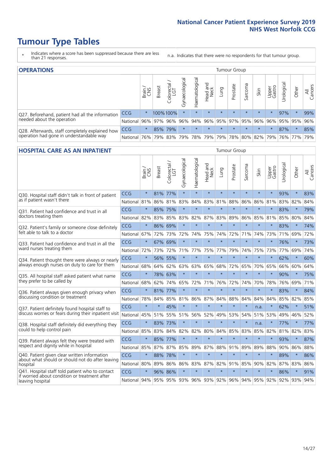- \* Indicates where a score has been suppressed because there are less than 21 responses.
- n.a. Indicates that there were no respondents for that tumour group.

| <b>OPERATIONS</b>                                                                           |                      |              |               |                   |                |                 |                  | Tumour Group |                     |         |         |                 |                                                 |         |                |  |  |
|---------------------------------------------------------------------------------------------|----------------------|--------------|---------------|-------------------|----------------|-----------------|------------------|--------------|---------------------|---------|---------|-----------------|-------------------------------------------------|---------|----------------|--|--|
|                                                                                             |                      | Brain<br>CNS | <b>Breast</b> | Colorectal<br>LGT | Gynaecological | Haematological  | Head and<br>Neck | <b>Gunn</b>  | Prostate            | Sarcoma | Skin    | Upper<br>Gastro | Urologica                                       | Other   | All<br>Cancers |  |  |
| Q27. Beforehand, patient had all the information                                            | CCG                  | $\star$      |               | 100%100%          | $\star$        |                 | $\star$          | $\star$      | $\star$             | $\star$ | $\star$ | $\star$         | 97%                                             | $\star$ | 99%            |  |  |
| needed about the operation                                                                  | National 96% 97% 96% |              |               |                   |                |                 |                  |              |                     |         |         |                 | 96% 94% 96% 95% 97% 95% 96% 96% 95% 95% 95% 96% |         |                |  |  |
| Q28. Afterwards, staff completely explained how<br>operation had gone in understandable way | <b>CCG</b>           | $\star$      |               | 85% 79%           | $\star$        | $\star$         | $\star$          | $\star$      | $\star$             | $\star$ | $\star$ |                 | 87%                                             | $\star$ | 85%            |  |  |
|                                                                                             | National             | 76%          |               | 79% 83%           |                | 79%   78%   79% |                  |              | 79% 78% 80% 82% 79% |         |         |                 |                                                 | 76% 77% | 79%            |  |  |

#### **HOSPITAL CARE AS AN INPATIENT** Tumour Group

|                                                                                                  |              | Brain   | Breast  | Colorectal /<br>LGT | Gynaecological | Haematological          | Head and<br><b>Neck</b> | Lung    | Prostate | Sarcoma | Skin            | Upper<br>Gastro | Urological | Other   | All<br>Cancers |
|--------------------------------------------------------------------------------------------------|--------------|---------|---------|---------------------|----------------|-------------------------|-------------------------|---------|----------|---------|-----------------|-----------------|------------|---------|----------------|
| Q30. Hospital staff didn't talk in front of patient                                              | CCG          | $\star$ | 81%     | 77%                 | $\star$        | $\star$                 | $\star$                 | $\star$ | $\star$  | $\star$ | $\star$         | $\star$         | 93%        | $\star$ | 83%            |
| as if patient wasn't there                                                                       | National     | 81%     | 86%     | 81%                 | 83%            | 84%                     | 83%                     | 81%     | 88%      | 86%     | 86%             | 81%             | 83%        | 82%     | 84%            |
| 031. Patient had confidence and trust in all                                                     | CCG          | $\star$ | 85% 75% |                     | $\star$        | $\star$                 | $\star$                 | $\star$ | $\star$  | $\star$ | $\star$         | $\star$         | 83%        | $\star$ | 79%            |
| doctors treating them                                                                            | National     | 82%     |         | 83% 85%             | 83%            | 82%                     |                         | 87% 83% | 89%      | 86%     | 85%             | 81%             | 85%        | 80%     | 84%            |
| Q32. Patient's family or someone close definitely                                                | CCG          | $\star$ | 86%     | 69%                 | $\star$        | $\star$                 | $\star$                 | $\star$ | $\star$  | $\star$ | $\star$         | $\star$         | 83%        | $\star$ | 74%            |
| felt able to talk to a doctor                                                                    | National     | 67%     | 72%     | 73%                 | 72%            | 74%                     | 75%                     | 74%     | 72%      | 71%     | 74%             | 73%             | 71%        | 69%     | 72%            |
| O33. Patient had confidence and trust in all the                                                 | CCG          | $\star$ | 67%     | 69%                 | $\star$        | $\star$                 | $\star$                 | $\star$ | $\star$  | $\star$ | $\star$         | $\star$         | 76%        | $\star$ | 73%            |
| ward nurses treating them                                                                        | National     | 72%     | 73%     | 72%                 | 71%            | 77%                     | 75%                     | 77%     | 79%      | 74%     | 75%             | 73%             | 77%        | 69%     | 74%            |
| Q34. Patient thought there were always or nearly                                                 | CCG          | $\star$ | 56%     | 55%                 | $\star$        | $\star$                 | $\star$                 | $\star$ | $\star$  | $\star$ | $\star$         | $\star$         | 62%        | $\star$ | 60%            |
| always enough nurses on duty to care for them                                                    | National     | 68%     | 64%     | 62%                 | 63%            | 63%                     | 65%                     | 68%     | 72%      | 65%     | 70%             | 65%             | 66%        | 60%     | 64%            |
| Q35. All hospital staff asked patient what name                                                  | CCG          | $\star$ | 78% 63% |                     | $\star$        | $\star$                 | $\star$                 | $\star$ | $\star$  | $\star$ | $\star$         | $\star$         | 90%        | $\star$ | 75%            |
| they prefer to be called by                                                                      | National     | 68%     | 62%     | 74%                 | 65%            | 72%                     | 71%                     | 76%     | 72%      | 74%     | 70%             | 78%             | 76%        | 69%     | 71%            |
| Q36. Patient always given enough privacy when                                                    | CCG          | $\star$ | 81%     | 77%                 | $\star$        | $\star$                 | $\star$                 | $\star$ | $\star$  | $\star$ | $\star$         | $\star$         | 83%        | $\star$ | 84%            |
| discussing condition or treatment                                                                | National     | 78%     | 84%     | 85%                 | 81%            | 86%                     |                         | 87% 84% | 88%      | 84%     | 84%             | 84%             | 85%        | 82%     | 85%            |
| Q37. Patient definitely found hospital staff to                                                  | <b>CCG</b>   | $\star$ | $\star$ | 45%                 |                | $\star$                 | $\star$                 | $\star$ | $\star$  | $\star$ | n.a.            | $\star$         | 62%        | $\star$ | 51%            |
| discuss worries or fears during their inpatient visit                                            | National     | 45%     | 51%     | 55%                 | 51%            | 56%                     | 52%                     | 49%     | 53%      | 54%     | 51%             | 53%             | 49%        | 46%     | 52%            |
| Q38. Hospital staff definitely did everything they                                               | CCG          | $\star$ | 83%     | 73%                 | $\star$        | $\star$                 | $\star$                 | $\star$ | $\star$  | $\star$ | n.a.            | $\star$         | 77%        | $\star$ | 77%            |
| could to help control pain                                                                       | National     | 85%     | 83%     | 84%                 | 82%            | 82%                     | 80%                     | 84%     | 85%      | 83%     | 85%             | 82%             | 81%        | 82%     | 83%            |
| Q39. Patient always felt they were treated with                                                  | CCG          | $\star$ | 85% 77% |                     | $\star$        | $\star$                 | $\star$                 | $\star$ | $\star$  | $\star$ | $\star$         |                 | 93%        | $\star$ | 87%            |
| respect and dignity while in hospital                                                            | National     | 85%     |         | 87% 87%             | 85%            | 89%                     |                         | 87% 88% | 91%      | 89%     | 89%             | 88%             |            | 90% 86% | 88%            |
| Q40. Patient given clear written information<br>about what should or should not do after leaving | CCG          | $\star$ | 88%     | 78%                 | $\star$        | $\star$                 | $\star$                 | $\star$ | $\star$  | $\star$ | $\star$         | $\star$         | 89%        | $\star$ | 86%            |
| hospital                                                                                         | National     | 80%     | 89%     | 86%                 | 86%            | 83%                     |                         | 87% 82% | 91%      | 85%     | 90%             | 82%             | 87%        | 83%     | 86%            |
| Q41. Hospital staff told patient who to contact<br>if worried about condition or treatment after | CCG          | $\star$ | 96%     | 86%                 | $\star$        | $\star$                 | $\star$                 | $\star$ | $\star$  | $\star$ | $\star$         | $\star$         | 86%        | $\star$ | 91%            |
| leaving hospital                                                                                 | National 94% |         |         |                     |                | 95% 95% 93% 96% 93% 92% |                         |         |          |         | 96% 94% 95% 92% |                 |            | 92% 93% | 94%            |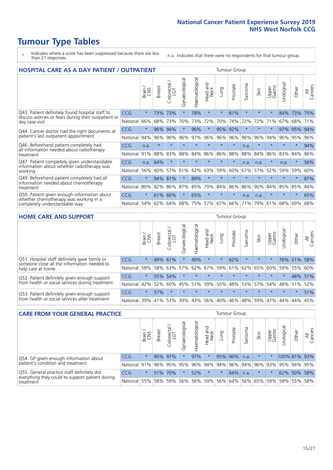- \* Indicates where a score has been suppressed because there are less than 21 responses.
- n.a. Indicates that there were no respondents for that tumour group.

| <b>HOSPITAL CARE AS A DAY PATIENT / OUTPATIENT</b>                                                                    |            |         |               |            |                |                |                         |         | <b>Tumour Group</b> |             |         |                 |            |         |                |  |  |  |  |
|-----------------------------------------------------------------------------------------------------------------------|------------|---------|---------------|------------|----------------|----------------|-------------------------|---------|---------------------|-------------|---------|-----------------|------------|---------|----------------|--|--|--|--|
|                                                                                                                       |            | Brain   | <b>Breast</b> | Colorectal | Gynaecological | Haematological | ead and<br>Neck<br>Head | Lung    | Prostate            | arcoma<br>S | Skin    | Upper<br>Gastro | Urological | Other   | All<br>Cancers |  |  |  |  |
| Q43. Patient definitely found hospital staff to                                                                       | <b>CCG</b> | $\star$ | 73%           | 73%        | $\star$        | 78%            | $\star$                 | $\star$ | 81%                 | $\star$     | $\star$ | $\star$         | 84%        | 73%     | 75%            |  |  |  |  |
| discuss worries or fears during their outpatient or<br>day case visit                                                 | National   | 66%     | 68%           | 73%        | 70%            | 73%            | 72%                     | 70%     | 74%                 | 72%         | 72%     | 71%             | 67%        | 68%     | 71%            |  |  |  |  |
| Q44. Cancer doctor had the right documents at<br>patient's last outpatient appointment                                | CCG        | $\star$ | 96%           | 94%        | $\star$        | 96%            | $\star$                 | 95%     | 92%                 | $\star$     |         | $\star$         | 97%        | 95%     | 94%            |  |  |  |  |
|                                                                                                                       | National   | 94%     | 96%           | 96%        | 96%            | 97%            | 96%                     | 96%     | 96%                 | 96%         | 96%     | 94%             | 96%        | 95%     | 96%            |  |  |  |  |
| Q46. Beforehand patient completely had<br>all information needed about radiotherapy                                   | <b>CCG</b> | n.a.    | $\star$       | $\star$    |                |                | $\star$                 | $\star$ | $\star$             | n.a.        |         | $\star$         | $\star$    | $\star$ | 94%            |  |  |  |  |
| treatment                                                                                                             | National   | 91%     | 88%           | 83%        | 88%            | 84%            | 86%                     | 86%     | 88%                 | 88%         | 84%     | 86%             | 83%        | 84%     | 86%            |  |  |  |  |
| Q47. Patient completely given understandable<br>information about whether radiotherapy was                            | <b>CCG</b> | n.a.    | 64%           | $\star$    | $\star$        | $\star$        | $\star$                 | $\star$ | $\star$             | n.a.        | n.a.    | $\star$         | n.a.       | $\star$ | 56%            |  |  |  |  |
| working                                                                                                               | National   | 56%     | 60%           | 57%        | 61%            | 62%            | 63%                     | 59%     | 60%                 | 67%         | 57%     | 52%             | 59%        | 59%     | 60%            |  |  |  |  |
| Q49. Beforehand patient completely had all                                                                            | CCG        | $\star$ | 94%           | 81%        | $\star$        | 89%            | $\star$                 | $\star$ | $\star$             | $\star$     | $\star$ | $\star$         | $\star$    | $\ast$  | 87%            |  |  |  |  |
| information needed about chemotherapy<br>treatment                                                                    | National   | 80%     | 82%           | 86%        | 87%            | 85%            | 79%                     | 84%     | 86%                 | 86%         | 90%     | 84%             | 85%        | 85%     | 84%            |  |  |  |  |
| Q50. Patient given enough information about<br>whether chemotherapy was working in a<br>completely understandable way | <b>CCG</b> | $\star$ | 61%           | 66%        | $\star$        | 65%            | $\star$                 | $\star$ | $\star$             | n.a.        | n.a.    | $\star$         |            | $\star$ | 65%            |  |  |  |  |
|                                                                                                                       | National   | 54%     | 62%           | 64%        | 68%            | 75%            |                         | 57% 67% | 66%                 | 71%         | 79%     | 61%             | 68%        | 69%     | 68%            |  |  |  |  |

#### **HOME CARE AND SUPPORT** Tumour Group

|                                                                                                                   |            | Brain   | <b>Breast</b> | Colorectal<br>LGT | ᢛ<br>Gynaecologic | Haematological | Head and<br>Neck | <b>Dung</b> | Prostate | Sarcoma | Skin    | Upper<br>Gastro | rological   | Other   | All<br>Cancers |
|-------------------------------------------------------------------------------------------------------------------|------------|---------|---------------|-------------------|-------------------|----------------|------------------|-------------|----------|---------|---------|-----------------|-------------|---------|----------------|
| Q51. Hospital staff definitely gave family or<br>someone close all the information needed to<br>help care at home | <b>CCG</b> | $\star$ |               | 49% 61%           | $\star$           | 49%            | $\ast$           | $\star$     | 62%      |         | $\star$ | $\star$         |             | 76% 51% | 58%            |
|                                                                                                                   | National   | 58%     | 58% 63%       |                   | 57%               | 62%            |                  | 67% 59% 61% |          |         | 62% 65% | 60%             | 59%         | 55%     | 60%            |
| Q52. Patient definitely given enough support<br>from health or social services during treatment                   | <b>CCG</b> | $\star$ |               | 55% 54%           | $\star$           |                | $\star$          | $\star$     | $\star$  |         | $\star$ | $\star$         | $\star$     | 48%     | 51%            |
|                                                                                                                   | National   | 42%     | 52%           | 60%               |                   | 45% 51%        | 59%              | 50%         | 48%      |         | 53% 57% |                 | 54% 48% 51% |         | 52%            |
| Q53. Patient definitely given enough support<br>from health or social services after treatment                    | <b>CCG</b> | $\star$ | 57%           |                   | $\star$           | $\star$        | $\star$          | $\star$     | $\star$  | $\star$ | $\star$ | $\star$         | $\star$     | $\star$ | 51%            |
|                                                                                                                   | National   | 39%     | 41% 53%       |                   | 39%               | $ 43\% $       | 56%              | 40%         | 46%      | 48%     | 59%     | 47%             | 44%         | 44%     | 45%            |

| <b>CARE FROM YOUR GENERAL PRACTICE</b>                                                                     |              |         |               |            |                |                |                  | Tumour Group |          |         |                             |                 |                                         |         |                |  |
|------------------------------------------------------------------------------------------------------------|--------------|---------|---------------|------------|----------------|----------------|------------------|--------------|----------|---------|-----------------------------|-----------------|-----------------------------------------|---------|----------------|--|
|                                                                                                            |              | Brain,  | <b>Breast</b> | Colorectal | Gynaecological | Haematological | Head and<br>Neck | Lung         | Prostate | Sarcoma | Skin                        | Upper<br>Gastro | $\sigma$<br>Urologica                   | Other   | All<br>Cancers |  |
| Q54. GP given enough information about                                                                     | <b>CCG</b>   | $\star$ |               | 90% 97%    |                | 97%            | $\star$          |              | 95% 96%  | n.a.    | $\star$                     | $\star$         | 100% 81% 93%                            |         |                |  |
| patient's condition and treatment                                                                          | National 91% |         |               |            | 96% 95% 95%    |                |                  |              |          |         |                             |                 | 96% 94% 94% 96% 94% 96% 93% 95% 94% 95% |         |                |  |
| Q55. General practice staff definitely did<br>everything they could to support patient during<br>treatment | <b>CCG</b>   | $\star$ | 51%           | 70%        |                | 52%            | $\star$          | $\star$      | 64%      | n.a.    | $\star$                     | $\star$         |                                         | 62% 50% | 58%            |  |
|                                                                                                            | National 55% |         |               | 58% 59%    | 56%            |                |                  |              |          |         | 56% 59% 56% 64% 56% 65% 59% |                 |                                         | 59% 55% | 58%            |  |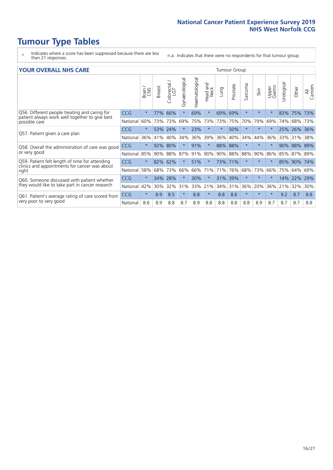# **Tumour Type Tables**

- \* Indicates where a score has been suppressed because there are less than 21 responses.
- n.a. Indicates that there were no respondents for that tumour group.

#### **YOUR OVERALL NHS CARE** THE TWO CONTROLLER THE THE THROUP CHANGE THE TUMOUR GROUP

|                                                                 |            | Brain   | <b>Breast</b> | Colorectal | Gynaecological | Haematological | aad and<br>Neck<br>Head | Lung    | Prostate | Sarcoma | Skin    | Upper<br>Gastro | Urological | Other   | All<br>Cancers |
|-----------------------------------------------------------------|------------|---------|---------------|------------|----------------|----------------|-------------------------|---------|----------|---------|---------|-----------------|------------|---------|----------------|
| Q56. Different people treating and caring for                   | <b>CCG</b> | $\star$ | 77%           | 66%        | $\star$        | 69%            | $\star$                 | 69%     | 69%      | $\star$ | $\star$ |                 | 83%        | 75%     | 73%            |
| patient always work well together to give best<br>possible care | National   | 60%     |               | 73% 73%    | 69%            | 75%            | 73%                     | 73%     | 75%      | 70%     | 79%     | 69%             | 74%        | 68%     | 73%            |
| Q57. Patient given a care plan                                  | <b>CCG</b> | $\star$ | 53% 24%       |            |                | 23%            | $\star$                 | $\star$ | 50%      | $\star$ | $\star$ |                 | 25%        | 26% 36% |                |
|                                                                 | National   | 36%     | 41%           | 40%        | 34%            | 36%            | 39%                     | 36%     | 40%      | 34%     | 44%     | 36%             | 33%        | 31%     | 38%            |
| Q58. Overall the administration of care was good                | <b>CCG</b> | $\star$ | 92%           | 80%        |                | 91%            | $\star$                 | 88%     | 88%      | $\star$ | $\star$ |                 | 90%        | 88%     | 89%            |
| or very good                                                    | National   | 85%     | 90%           | 88%        | 87%            | 91%            | 90%                     | 90%     | 88%      | 88%     | 90%     | 86%             | 85%        | 87% 89% |                |
| Q59. Patient felt length of time for attending                  | <b>CCG</b> | $\star$ | 82%           | 62%        | $\star$        | 51%            | $\star$                 | 73% 71% |          | $\star$ | $\star$ | $\star$         | 85%        | 90%     | 74%            |
| clinics and appointments for cancer was about<br>right          | National   | 58%     | 68%           | 73%        | 66%            | 66%            | 71%                     | 71%     | 76%      | 68%     | 73%     | 66%             | 75%        | 64%     | 69%            |
| Q60. Someone discussed with patient whether                     | <b>CCG</b> | $\star$ | 34%           | 28%        |                | 30%            | $\star$                 | 31%     | 39%      | $\star$ | $\star$ | $\star$         | 14%        | 22%     | 29%            |
| they would like to take part in cancer research                 | National   | 42%     | 30%           | 32%        | 31%            | 33%            | 21%                     | 34%     | 31%      | 36%     | 20%     | 36%             | 21%        | 32%     | 30%            |
| Q61. Patient's average rating of care scored from               | <b>CCG</b> | $\star$ | 8.9           | 8.5        | $\star$        | 8.8            | $\star$                 | 8.8     | 8.6      | $\star$ | $\star$ | $\star$         | 9.2        | 8.7     | 8.8            |
| very poor to very good                                          | National   | 8.6     | 8.9           | 8.8        | 8.7            | 8.9            | 8.8                     | 8.8     | 8.8      | 8.8     | 8.9     | 8.7             | 8.7        | 8.7     | 8.8            |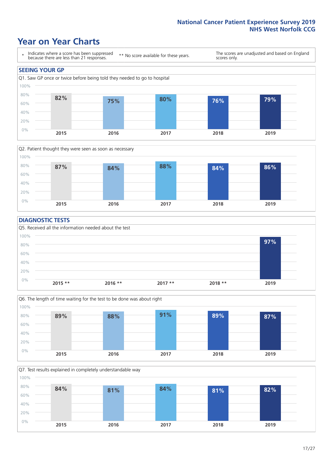### **Year on Year Charts**





#### **DIAGNOSTIC TESTS**





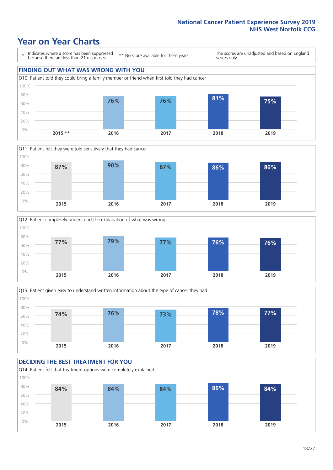### **Year on Year Charts**

\* Indicates where a score has been suppressed because there are less than 21 responses.

\*\* No score available for these years.

The scores are unadjusted and based on England scores only.

### **FINDING OUT WHAT WAS WRONG WITH YOU** Q10. Patient told they could bring a family member or friend when first told they had cancer 0% 20% 40% 60% 80% 100% **2015 \*\* 2016 2017 2018 2019 76% 76% 81% 75%**







#### **DECIDING THE BEST TREATMENT FOR YOU** Q14. Patient felt that treatment options were completely explained 0% 20% 40% 60% 80% 100% **2015 2016 2017 2018 2019 84% 84% 84% 86% 84%**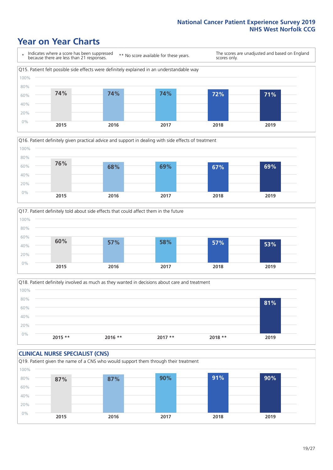### **Year on Year Charts**







Q18. Patient definitely involved as much as they wanted in decisions about care and treatment  $0%$ 20% 40% 60% 80% 100% **2015 \*\* 2016 \*\* 2017 \*\* 2018 \*\* 2019 81%**

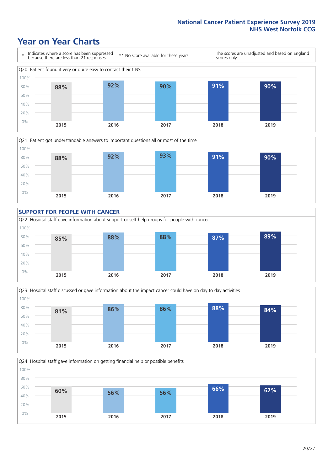### **Year on Year Charts**









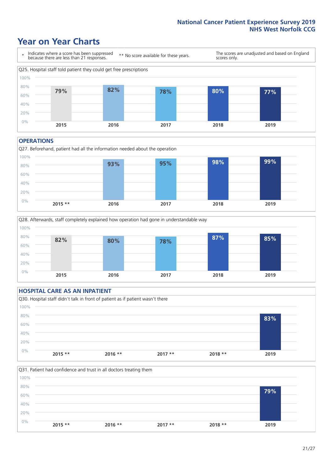### **Year on Year Charts**



#### **OPERATIONS**





### **HOSPITAL CARE AS AN INPATIENT** Q30. Hospital staff didn't talk in front of patient as if patient wasn't there 0% 20% 40% 60% 80% 100% **2015 \*\* 2016 \*\* 2017 \*\* 2018 \*\* 2019 83%**

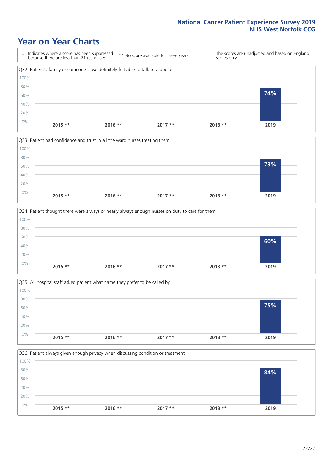### **Year on Year Charts**









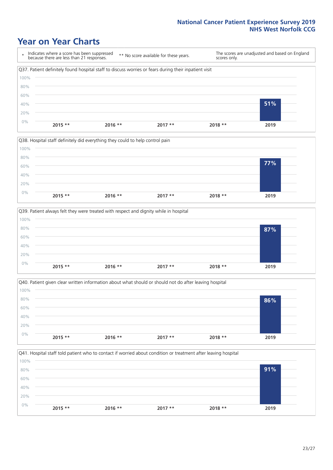### **Year on Year Charts**

\* Indicates where a score has been suppressed because there are less than 21 responses. \*\* No score available for these years. The scores are unadjusted and based on England scores only. Q37. Patient definitely found hospital staff to discuss worries or fears during their inpatient visit 0% 20% 40% 60% 80% 100% **2015 \*\* 2016 \*\* 2017 \*\* 2018 \*\* 2019 51%**







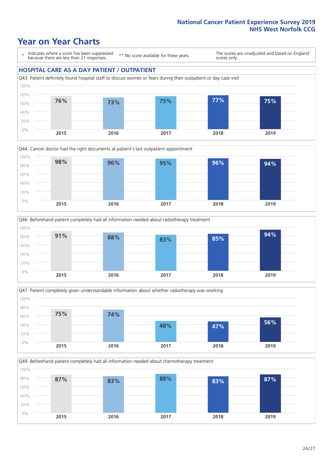### **Year on Year Charts**

\* Indicates where a score has been suppressed because there are less than 21 responses.

\*\* No score available for these years.

The scores are unadjusted and based on England scores only.

#### **HOSPITAL CARE AS A DAY PATIENT / OUTPATIENT**









Q49. Beforehand patient completely had all information needed about chemotherapy treatment 0% 20% 40% 60% 80% 100% **2015 2016 2017 2018 2019 87% 83% 88% 83% 87%**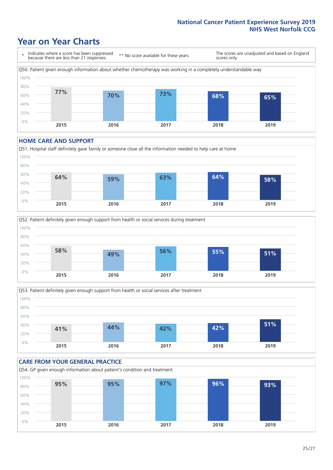### **Year on Year Charts**

\* Indicates where a score has been suppressed because there are less than 21 responses. \*\* No score available for these years. The scores are unadjusted and based on England scores only. Q50. Patient given enough information about whether chemotherapy was working in a completely understandable way 0% 20% 40% 60% 80% 100% **2015 2016 2017 2018 2019 77% 70% 73% 68% 65%**

#### **HOME CARE AND SUPPORT**







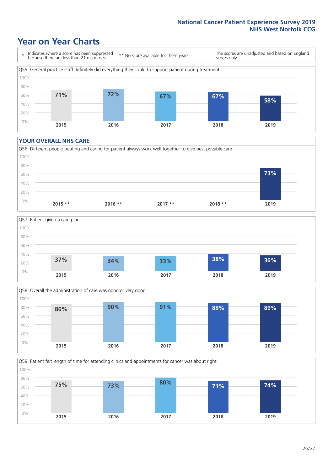### **Year on Year Charts**

\* Indicates where a score has been suppressed because there are less than 21 responses.

\*\* No score available for these years.

The scores are unadjusted and based on England scores only.



#### **YOUR OVERALL NHS CARE**







Q59. Patient felt length of time for attending clinics and appointments for cancer was about right